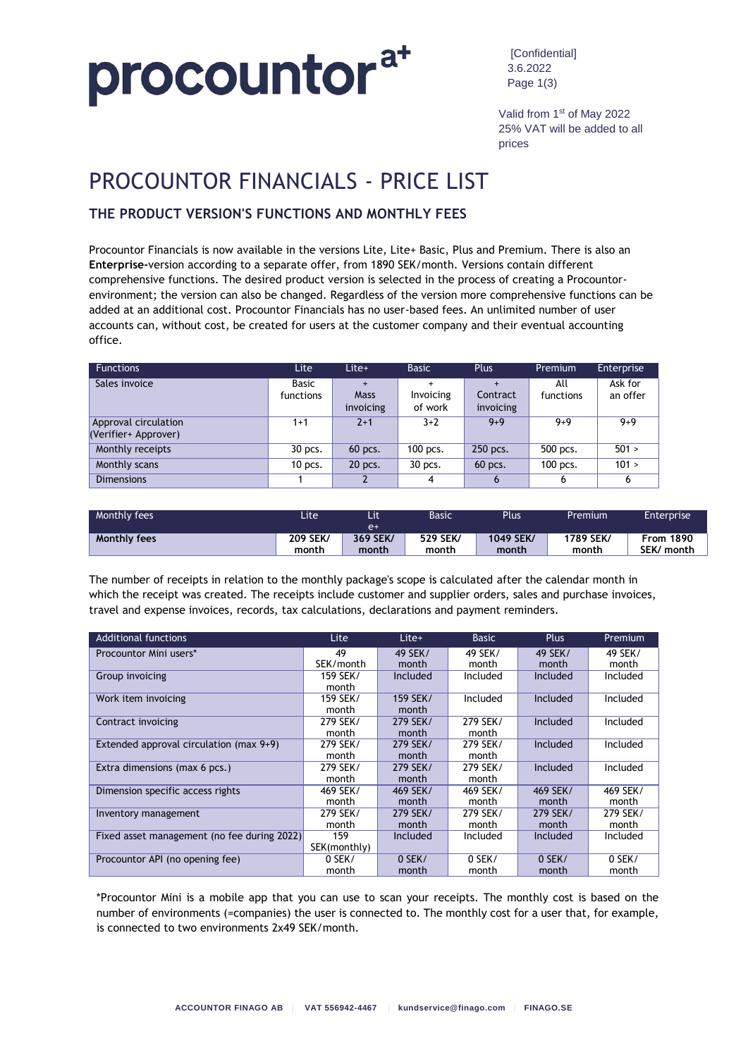### procountora+

[Confidential] 3.6.2022 Page 1(3)

Valid from 1st of May 2022 25% VAT will be added to all prices

### PROCOUNTOR FINANCIALS - PRICE LIST

#### **THE PRODUCT VERSION'S FUNCTIONS AND MONTHLY FEES**

Procountor Financials is now available in the versions Lite, Lite+ Basic, Plus and Premium. There is also an **Enterprise-**version according to a separate offer, from 1890 SEK/month. Versions contain different comprehensive functions. The desired product version is selected in the process of creating a Procountorenvironment; the version can also be changed. Regardless of the version more comprehensive functions can be added at an additional cost. Procountor Financials has no user-based fees. An unlimited number of user accounts can, without cost, be created for users at the customer company and their eventual accounting office.

| <b>Functions</b>                             | Lite                      | Lite+                           | <b>Basic</b>                      | <b>Plus</b>           | Premium          | <b>Enterprise</b>   |
|----------------------------------------------|---------------------------|---------------------------------|-----------------------------------|-----------------------|------------------|---------------------|
| Sales invoice                                | <b>Basic</b><br>functions | $+$<br><b>Mass</b><br>invoicing | $\ddot{}$<br>Invoicing<br>of work | Contract<br>invoicing | All<br>functions | Ask for<br>an offer |
| Approval circulation<br>(Verifier+ Approver) | $1+1$                     | $2+1$                           | $3+2$                             | $9 + 9$               | $9 + 9$          | $9 + 9$             |
| Monthly receipts                             | 30 pcs.                   | 60 pcs.                         | 100 pcs.                          | 250 pcs.              | 500 pcs.         | 501 >               |
| Monthly scans                                | $10$ pcs.                 | 20 pcs.                         | 30 pcs.                           | 60 pcs.               | 100 pcs.         | 101 >               |
| <b>Dimensions</b>                            |                           |                                 | 4                                 |                       | 6                | 6                   |

| Monthly fees        | Lite     | Lit<br>$e+$ | Basic    | <b>Plus</b> | Premium   | Enterprise       |
|---------------------|----------|-------------|----------|-------------|-----------|------------------|
| <b>Monthly fees</b> | 209 SEK/ | 369 SEK/    | 529 SEK/ | 1049 SEK/   | 1789 SEK/ | <b>From 1890</b> |
|                     | month    | month       | month    | month       | month     | SEK/ month       |

The number of receipts in relation to the monthly package's scope is calculated after the calendar month in which the receipt was created. The receipts include customer and supplier orders, sales and purchase invoices, travel and expense invoices, records, tax calculations, declarations and payment reminders.

| <b>Additional functions</b>                 | Lite         | Lite+    | <b>Basic</b> | <b>Plus</b> | Premium  |
|---------------------------------------------|--------------|----------|--------------|-------------|----------|
| Procountor Mini users*                      | 49           | 49 SEK/  | 49 SEK/      | 49 SEK/     | 49 SEK/  |
|                                             | SEK/month    | month    | month        | month       | month    |
| Group invoicing                             | 159 SEK/     | Included | Included     | Included    | Included |
|                                             | month        |          |              |             |          |
| Work item invoicing                         | 159 SEK/     | 159 SEK/ | Included     | Included    | Included |
|                                             | month        | month    |              |             |          |
| Contract invoicing                          | 279 SEK/     | 279 SEK/ | 279 SEK/     | Included    | Included |
|                                             | month        | month    | month        |             |          |
| Extended approval circulation (max 9+9)     | 279 SEK/     | 279 SEK/ | 279 SEK/     | Included    | Included |
|                                             | month        | month    | month        |             |          |
| Extra dimensions (max 6 pcs.)               | 279 SEK/     | 279 SEK/ | 279 SEK/     | Included    | Included |
|                                             | month        | month    | month        |             |          |
| Dimension specific access rights            | 469 SEK/     | 469 SEK/ | 469 SEK/     | 469 SEK/    | 469 SEK/ |
|                                             | month        | month    | month        | month       | month    |
| Inventory management                        | 279 SEK/     | 279 SEK/ | 279 SEK/     | 279 SEK/    | 279 SEK/ |
|                                             | month        | month    | month        | month       | month    |
| Fixed asset management (no fee during 2022) | 159          | Included | Included     | Included    | Included |
|                                             | SEK(monthly) |          |              |             |          |
| Procountor API (no opening fee)             | 0 SEK/       | 0 SEK/   | 0 SEK/       | 0 SEK/      | 0 SEK/   |
|                                             | month        | month    | month        | month       | month    |

\*Procountor Mini is a mobile app that you can use to scan your receipts. The monthly cost is based on the number of environments (=companies) the user is connected to. The monthly cost for a user that, for example, is connected to two environments 2x49 SEK/month.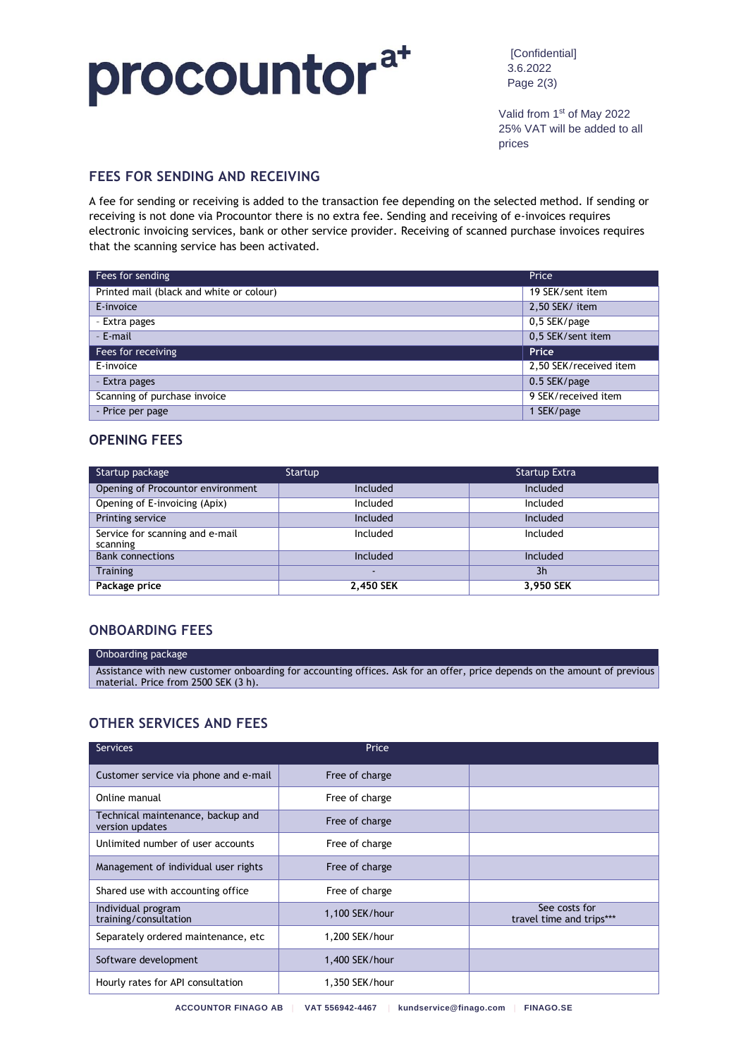## procountora+

[Confidential] 3.6.2022 Page 2(3)

Valid from 1st of May 2022 25% VAT will be added to all prices

#### **FEES FOR SENDING AND RECEIVING**

A fee for sending or receiving is added to the transaction fee depending on the selected method. If sending or receiving is not done via Procountor there is no extra fee. Sending and receiving of e-invoices requires electronic invoicing services, bank or other service provider. Receiving of scanned purchase invoices requires that the scanning service has been activated.

| Fees for sending                         | Price                  |
|------------------------------------------|------------------------|
| Printed mail (black and white or colour) | 19 SEK/sent item       |
| E invoice                                | 2,50 SEK/ item         |
| - Extra pages                            | 0,5 SEK/page           |
| - E-mail                                 | 0,5 SEK/sent item      |
| Fees for receiving                       | Price                  |
| E-invoice                                | 2,50 SEK/received item |
| - Extra pages                            | 0.5 SEK/page           |
| Scanning of purchase invoice             | 9 SEK/received item    |
| - Price per page                         | SEK/page               |

#### **OPENING FEES**

| Startup package                             | Startup   | <b>Startup Extra</b> |
|---------------------------------------------|-----------|----------------------|
| Opening of Procountor environment           | Included  | Included             |
| Opening of E-invoicing (Apix)               | Included  | Included             |
| Printing service                            | Included  | Included             |
| Service for scanning and e-mail<br>scanning | Included  | Included             |
| <b>Bank connections</b>                     | Included  | Included             |
| <b>Training</b>                             | -         | 3h                   |
| Package price                               | 2,450 SEK | 3,950 SEK            |

#### **ONBOARDING FEES**

#### Onboarding package Assistance with new customer onboarding for accounting offices. Ask for an offer, price depends on the amount of previous material. Price from 2500 SEK (3 h).

#### **OTHER SERVICES AND FEES**

| <b>Services</b>                                      | Price          |                                           |
|------------------------------------------------------|----------------|-------------------------------------------|
| Customer service via phone and e-mail                | Free of charge |                                           |
| Online manual                                        | Free of charge |                                           |
| Technical maintenance, backup and<br>version updates | Free of charge |                                           |
| Unlimited number of user accounts                    | Free of charge |                                           |
| Management of individual user rights                 | Free of charge |                                           |
| Shared use with accounting office                    | Free of charge |                                           |
| Individual program<br>training/consultation          | 1,100 SEK/hour | See costs for<br>travel time and trips*** |
| Separately ordered maintenance, etc                  | 1,200 SEK/hour |                                           |
| Software development                                 | 1,400 SEK/hour |                                           |
| Hourly rates for API consultation                    | 1.350 SEK/hour |                                           |